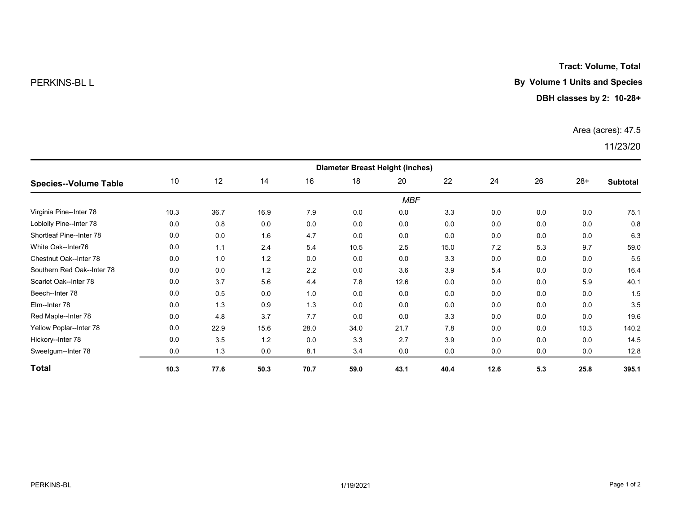Tract: Volume, Total

### PERKINS-BL L **By Volume 1 Units and Species**

#### DBH classes by 2: 10-28+

#### Area (acres): 47.5

## 11/23/20

| <b>Species--Volume Table</b> | <b>Diameter Breast Height (inches)</b> |      |      |      |      |      |      |      |     |       |                 |  |
|------------------------------|----------------------------------------|------|------|------|------|------|------|------|-----|-------|-----------------|--|
|                              | 10                                     | 12   | 14   | 16   | 18   | 20   | 22   | 24   | 26  | $28+$ | <b>Subtotal</b> |  |
|                              | <b>MBF</b>                             |      |      |      |      |      |      |      |     |       |                 |  |
| Virginia Pine--Inter 78      | 10.3                                   | 36.7 | 16.9 | 7.9  | 0.0  | 0.0  | 3.3  | 0.0  | 0.0 | 0.0   | 75.1            |  |
| Loblolly Pine--Inter 78      | 0.0                                    | 0.8  | 0.0  | 0.0  | 0.0  | 0.0  | 0.0  | 0.0  | 0.0 | 0.0   | 0.8             |  |
| Shortleaf Pine--Inter 78     | 0.0                                    | 0.0  | 1.6  | 4.7  | 0.0  | 0.0  | 0.0  | 0.0  | 0.0 | 0.0   | 6.3             |  |
| White Oak--Inter76           | 0.0                                    | 1.1  | 2.4  | 5.4  | 10.5 | 2.5  | 15.0 | 7.2  | 5.3 | 9.7   | 59.0            |  |
| Chestnut Oak--Inter 78       | 0.0                                    | 1.0  | 1.2  | 0.0  | 0.0  | 0.0  | 3.3  | 0.0  | 0.0 | 0.0   | 5.5             |  |
| Southern Red Oak--Inter 78   | 0.0                                    | 0.0  | 1.2  | 2.2  | 0.0  | 3.6  | 3.9  | 5.4  | 0.0 | 0.0   | 16.4            |  |
| Scarlet Oak--Inter 78        | 0.0                                    | 3.7  | 5.6  | 4.4  | 7.8  | 12.6 | 0.0  | 0.0  | 0.0 | 5.9   | 40.1            |  |
| Beech--Inter 78              | 0.0                                    | 0.5  | 0.0  | 1.0  | 0.0  | 0.0  | 0.0  | 0.0  | 0.0 | 0.0   | 1.5             |  |
| Elm--Inter 78                | 0.0                                    | 1.3  | 0.9  | 1.3  | 0.0  | 0.0  | 0.0  | 0.0  | 0.0 | 0.0   | 3.5             |  |
| Red Maple--Inter 78          | 0.0                                    | 4.8  | 3.7  | 7.7  | 0.0  | 0.0  | 3.3  | 0.0  | 0.0 | 0.0   | 19.6            |  |
| Yellow Poplar--Inter 78      | 0.0                                    | 22.9 | 15.6 | 28.0 | 34.0 | 21.7 | 7.8  | 0.0  | 0.0 | 10.3  | 140.2           |  |
| Hickory--Inter 78            | 0.0                                    | 3.5  | 1.2  | 0.0  | 3.3  | 2.7  | 3.9  | 0.0  | 0.0 | 0.0   | 14.5            |  |
| Sweetgum--Inter 78           | 0.0                                    | 1.3  | 0.0  | 8.1  | 3.4  | 0.0  | 0.0  | 0.0  | 0.0 | 0.0   | 12.8            |  |
| <b>Total</b>                 | 10.3                                   | 77.6 | 50.3 | 70.7 | 59.0 | 43.1 | 40.4 | 12.6 | 5.3 | 25.8  | 395.1           |  |